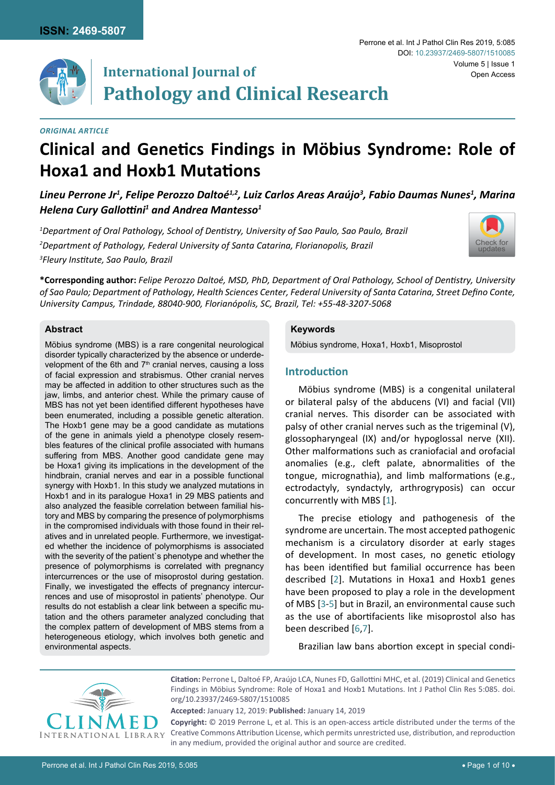

# **International Journal of Pathology and Clinical Research**

# *Original Article*

# **Clinical and Genetics Findings in Möbius Syndrome: Role of Hoxa1 and Hoxb1 Mutations**

*Lineu Perrone Jr1 , Felipe Perozzo Daltoé1,2, Luiz Carlos Areas Araújo3 , Fabio Daumas Nunes1 , Marina Helena Cury Gallottini<sup>1</sup> and Andrea Mantesso1*

*1 Department of Oral Pathology, School of Dentistry, University of Sao Paulo, Sao Paulo, Brazil 2 Department of Pathology, Federal University of Santa Catarina, Florianopolis, Brazil 3 Fleury Institute, Sao Paulo, Brazil*



Volume 5 | Issue 1

Open Access

Perrone et al. Int J Pathol Clin Res 2019, 5:085

DOI: [10.23937/2469-5807/1510085](https://doi.org/10.23937/2469-5807/1510085)

**\*Corresponding author:** *Felipe Perozzo Daltoé, MSD, PhD, Department of Oral Pathology, School of Dentistry, University of Sao Paulo; Department of Pathology, Health Sciences Center, Federal University of Santa Catarina, Street Defino Conte, University Campus, Trindade, 88040-900, Florianópolis, SC, Brazil, Tel: +55-48-3207-5068*

#### **Abstract**

Möbius syndrome (MBS) is a rare congenital neurological disorder typically characterized by the absence or underdevelopment of the 6th and  $7<sup>th</sup>$  cranial nerves, causing a loss of facial expression and strabismus. Other cranial nerves may be affected in addition to other structures such as the jaw, limbs, and anterior chest. While the primary cause of MBS has not yet been identified different hypotheses have been enumerated, including a possible genetic alteration. The Hoxb1 gene may be a good candidate as mutations of the gene in animals yield a phenotype closely resembles features of the clinical profile associated with humans suffering from MBS. Another good candidate gene may be Hoxa1 giving its implications in the development of the hindbrain, cranial nerves and ear in a possible functional synergy with Hoxb1. In this study we analyzed mutations in Hoxb1 and in its paralogue Hoxa1 in 29 MBS patients and also analyzed the feasible correlation between familial history and MBS by comparing the presence of polymorphisms in the compromised individuals with those found in their relatives and in unrelated people. Furthermore, we investigated whether the incidence of polymorphisms is associated with the severity of the patient`s phenotype and whether the presence of polymorphisms is correlated with pregnancy intercurrences or the use of misoprostol during gestation. Finally, we investigated the effects of pregnancy intercurrences and use of misoprostol in patients' phenotype. Our results do not establish a clear link between a specific mutation and the others parameter analyzed concluding that the complex pattern of development of MBS stems from a heterogeneous etiology, which involves both genetic and environmental aspects.

# **Keywords**

Möbius syndrome, Hoxa1, Hoxb1, Misoprostol

## **Introduction**

Möbius syndrome (MBS) is a congenital unilateral or bilateral palsy of the abducens (VI) and facial (VII) cranial nerves. This disorder can be associated with palsy of other cranial nerves such as the trigeminal (V), glossopharyngeal (IX) and/or hypoglossal nerve (XII). Other malformations such as craniofacial and orofacial anomalies (e.g., cleft palate, abnormalities of the tongue, micrognathia), and limb malformations (e.g., ectrodactyly, syndactyly, arthrogryposis) can occur concurrently with MBS [\[1\]](#page-8-0).

The precise etiology and pathogenesis of the syndrome are uncertain. The most accepted pathogenic mechanism is a circulatory disorder at early stages of development. In most cases, no genetic etiology has been identified but familial occurrence has been described [[2](#page-9-0)]. Mutations in Hoxa1 and Hoxb1 genes have been proposed to play a role in the development of MBS [\[3-](#page-9-1)[5\]](#page-9-2) but in Brazil, an environmental cause such as the use of abortifacients like misoprostol also has been described [[6](#page-9-3),[7](#page-9-4)].

Brazilian law bans abortion except in special condi-



**Citation:** Perrone L, Daltoé FP, Araújo LCA, Nunes FD, Gallottini MHC, et al. (2019) Clinical and Genetics Findings in Möbius Syndrome: Role of Hoxa1 and Hoxb1 Mutations. Int J Pathol Clin Res 5:085. [doi.](https://doi.org/10.23937/2469-5807/1510085) [org/10.23937/2469-5807/1510085](https://doi.org/10.23937/2469-5807/1510085)

**Accepted:** January 12, 2019: **Published:** January 14, 2019

**Copyright:** © 2019 Perrone L, et al. This is an open-access article distributed under the terms of the Creative Commons Attribution License, which permits unrestricted use, distribution, and reproduction in any medium, provided the original author and source are credited.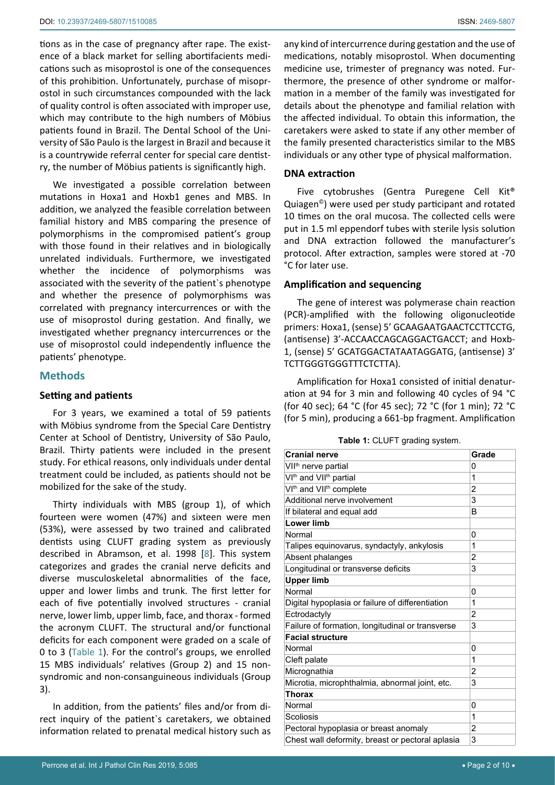tions as in the case of pregnancy after rape. The existence of a black market for selling abortifacients medications such as misoprostol is one of the consequences of this prohibition. Unfortunately, purchase of misoprostol in such circumstances compounded with the lack of quality control is often associated with improper use, which may contribute to the high numbers of Möbius patients found in Brazil. The Dental School of the University of São Paulo is the largest in Brazil and because it is a countrywide referral center for special care dentistry, the number of Möbius patients is significantly high.

We investigated a possible correlation between mutations in Hoxa1 and Hoxb1 genes and MBS. In addition, we analyzed the feasible correlation between familial history and MBS comparing the presence of polymorphisms in the compromised patient's group with those found in their relatives and in biologically unrelated individuals. Furthermore, we investigated whether the incidence of polymorphisms was associated with the severity of the patient`s phenotype and whether the presence of polymorphisms was correlated with pregnancy intercurrences or with the use of misoprostol during gestation. And finally, we investigated whether pregnancy intercurrences or the use of misoprostol could independently influence the patients' phenotype.

# **Methods**

## **Setting and patients**

For 3 years, we examined a total of 59 patients with Möbius syndrome from the Special Care Dentistry Center at School of Dentistry, University of São Paulo, Brazil. Thirty patients were included in the present study. For ethical reasons, only individuals under dental treatment could be included, as patients should not be mobilized for the sake of the study.

Thirty individuals with MBS (group 1), of which fourteen were women (47%) and sixteen were men (53%), were assessed by two trained and calibrated dentists using CLUFT grading system as previously described in Abramson, et al. 1998 [\[8\]](#page-9-5). This system categorizes and grades the cranial nerve deficits and diverse musculoskeletal abnormalities of the face, upper and lower limbs and trunk. The first letter for each of five potentially involved structures - cranial nerve, lower limb, upper limb, face, and thorax - formed the acronym CLUFT. The structural and/or functional deficits for each component were graded on a scale of 0 to 3 [\(Table 1\)](#page-1-0). For the control's groups, we enrolled 15 MBS individuals' relatives (Group 2) and 15 nonsyndromic and non-consanguineous individuals (Group 3).

In addition, from the patients' files and/or from direct inquiry of the patient`s caretakers, we obtained information related to prenatal medical history such as

any kind of intercurrence during gestation and the use of medications, notably misoprostol. When documenting medicine use, trimester of pregnancy was noted. Furthermore, the presence of other syndrome or malformation in a member of the family was investigated for details about the phenotype and familial relation with the affected individual. To obtain this information, the caretakers were asked to state if any other member of the family presented characteristics similar to the MBS individuals or any other type of physical malformation.

## **DNA extraction**

Five cytobrushes (Gentra Puregene Cell Kit® Quiagen©) were used per study participant and rotated 10 times on the oral mucosa. The collected cells were put in 1.5 ml eppendorf tubes with sterile lysis solution and DNA extraction followed the manufacturer's protocol. After extraction, samples were stored at -70 °C for later use.

## **Amplification and sequencing**

The gene of interest was polymerase chain reaction (PCR)-amplified with the following oligonucleotide primers: Hoxa1, (sense) 5' GCAAGAATGAACTCCTTCCTG, (antisense) 3'-ACCAACCAGCAGGACTGACCT; and Hoxb-1, (sense) 5' GCATGGACTATAATAGGATG, (antisense) 3' TCTTGGGTGGGTTTCTCTTA).

Amplification for Hoxa1 consisted of initial denaturation at 94 for 3 min and following 40 cycles of 94 °C (for 40 sec); 64 °C (for 45 sec); 72 °C (for 1 min); 72 °C (for 5 min), producing a 661-bp fragment. Amplification

<span id="page-1-0"></span>

| Table 1: CLUFT grading system. |  |  |
|--------------------------------|--|--|
|--------------------------------|--|--|

| <b>Cranial nerve</b>                             | Grade          |
|--------------------------------------------------|----------------|
| VII <sup>th</sup> nerve partial                  | 0              |
| VI <sup>th</sup> and VII <sup>th</sup> partial   | 1              |
| VI <sup>th</sup> and VII <sup>th</sup> complete  | 2              |
| Additional nerve involvement                     | 3              |
| If bilateral and equal add                       | B              |
| <b>Lower limb</b>                                |                |
| Normal                                           | 0              |
| Talipes equinovarus, syndactyly, ankylosis       | 1              |
| Absent phalanges                                 | 2              |
| Longitudinal or transverse deficits              | 3              |
| <b>Upper limb</b>                                |                |
| Normal                                           | 0              |
| Digital hypoplasia or failure of differentiation | 1              |
| Ectrodactyly                                     | 2              |
| Failure of formation, longitudinal or transverse | 3              |
| <b>Facial structure</b>                          |                |
| Normal                                           | 0              |
| Cleft palate                                     | 1              |
| Micrognathia                                     | 2              |
| Microtia, microphthalmia, abnormal joint, etc.   | 3              |
| <b>Thorax</b>                                    |                |
| Normal                                           | 0              |
| Scoliosis                                        | 1              |
| Pectoral hypoplasia or breast anomaly            | $\overline{2}$ |
| Chest wall deformity, breast or pectoral aplasia | 3              |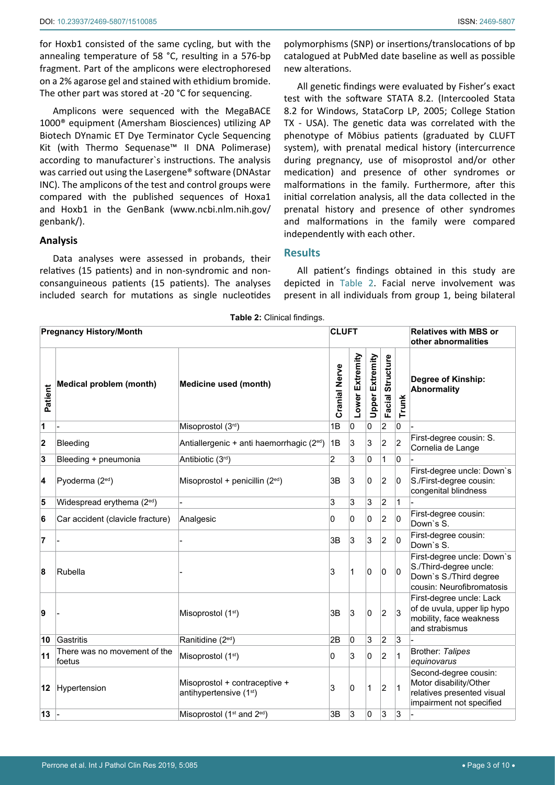for Hoxb1 consisted of the same cycling, but with the annealing temperature of 58 °C, resulting in a 576-bp fragment. Part of the amplicons were electrophoresed on a 2% agarose gel and stained with ethidium bromide. The other part was stored at -20 °C for sequencing.

Amplicons were sequenced with the MegaBACE 1000® equipment (Amersham Biosciences) utilizing AP Biotech DYnamic ET Dye Terminator Cycle Sequencing Kit (with Thermo Sequenase™ II DNA Polimerase) according to manufacturer`s instructions. The analysis was carried out using the Lasergene® software (DNAstar INC). The amplicons of the test and control groups were compared with the published sequences of Hoxa1 and Hoxb1 in the GenBank ([www.ncbi.nlm.nih.gov/](http://www.ncbi.nlm.nih.gov/genbank/) [genbank/](http://www.ncbi.nlm.nih.gov/genbank/)).

# **Analysis**

Data analyses were assessed in probands, their relatives (15 patients) and in non-syndromic and nonconsanguineous patients (15 patients). The analyses included search for mutations as single nucleotides

polymorphisms (SNP) or insertions/translocations of bp catalogued at PubMed date baseline as well as possible new alterations.

All genetic findings were evaluated by Fisher's exact test with the software STATA 8.2. (Intercooled Stata 8.2 for Windows, StataCorp LP, 2005; College Station TX - USA). The genetic data was correlated with the phenotype of Möbius patients (graduated by CLUFT system), with prenatal medical history (intercurrence during pregnancy, use of misoprostol and/or other medication) and presence of other syndromes or malformations in the family. Furthermore, after this initial correlation analysis, all the data collected in the prenatal history and presence of other syndromes and malformations in the family were compared independently with each other.

# **Results**

All patient's findings obtained in this study are depicted in [Table 2.](#page-2-0) Facial nerve involvement was present in all individuals from group 1, being bilateral

| <b>Pregnancy History/Month</b> |                                        |                                                                      | <b>CLUFT</b>   |                 |                        |                     |                | <b>Relatives with MBS or</b><br>other abnormalities                                                         |  |  |  |
|--------------------------------|----------------------------------------|----------------------------------------------------------------------|----------------|-----------------|------------------------|---------------------|----------------|-------------------------------------------------------------------------------------------------------------|--|--|--|
| Patient                        | <b>Medical problem (month)</b>         | Medicine used (month)                                                |                | Lower Extremity | <b>Upper Extremity</b> | Structure<br>Facial | <b>Trunk</b>   | Degree of Kinship:<br><b>Abnormality</b>                                                                    |  |  |  |
| 1                              |                                        | Misoprostol (3rd)                                                    | 1B             | 0               | 0                      | $\overline{c}$      | 0              |                                                                                                             |  |  |  |
| $\overline{2}$                 | Bleeding                               | Antiallergenic + anti haemorrhagic (2 <sup>ed</sup> )                | 1B             | 3               | 3                      | $\overline{2}$      | $\overline{2}$ | First-degree cousin: S.<br>Cornelia de Lange                                                                |  |  |  |
| 3                              | Bleeding + pneumonia                   | Antibiotic (3rd)                                                     | $\overline{2}$ | 3               | 0                      | 1                   | 0              |                                                                                                             |  |  |  |
| 4                              | Pyoderma (2 <sup>ed</sup> )            | Misoprostol + penicillin $(2^{ed})$                                  | 3B             | 3               | 0                      | $\overline{c}$      | 0              | First-degree uncle: Down's<br>S./First-degree cousin:<br>congenital blindness                               |  |  |  |
| 5                              | Widespread erythema (2 <sup>ed</sup> ) |                                                                      | 3              | 3               | 3                      | 2                   | $\mathbf{1}$   |                                                                                                             |  |  |  |
| 6                              | Car accident (clavicle fracture)       | Analgesic                                                            | 0              | 0               | 0                      | 2                   | 0              | First-degree cousin:<br>Down's S.                                                                           |  |  |  |
| 7                              |                                        |                                                                      | 3B             | 3               | 3                      | 2                   | 0              | First-degree cousin:<br>Down's S.                                                                           |  |  |  |
| 8                              | Rubella                                |                                                                      | 3              | 1               | 0                      | 0                   | $\overline{0}$ | First-degree uncle: Down's<br>S./Third-degree uncle:<br>Down's S./Third degree<br>cousin: Neurofibromatosis |  |  |  |
| 9                              |                                        | Misoprostol (1 <sup>st</sup> )                                       | 3B             | 3               | 0                      | $\overline{2}$      | 3              | First-degree uncle: Lack<br>of de uvula, upper lip hypo<br>mobility, face weakness<br>and strabismus        |  |  |  |
| 10                             | Gastritis                              | Ranitidine (2 <sup>ed</sup> )                                        | 2B             | 0               | 3                      | 2                   | $\overline{3}$ |                                                                                                             |  |  |  |
| 11                             | There was no movement of the<br>foetus | Misoprostol (1 <sup>st</sup> )                                       | 0              | 3               | 0                      | $\overline{2}$      | $\mathbf{1}$   | Brother: Talipes<br>equinovarus                                                                             |  |  |  |
| 12                             | Hypertension                           | Misoprostol + contraceptive +<br>antihypertensive (1 <sup>st</sup> ) | 3              | 0               | 1                      | 2                   | $\mathbf{1}$   | Second-degree cousin:<br>Motor disability/Other<br>relatives presented visual<br>impairment not specified   |  |  |  |
| 13                             |                                        | Misoprostol (1 <sup>st</sup> and 2 <sup>ed</sup> )                   | 3B             | 3               | 0                      | 3                   | 3              |                                                                                                             |  |  |  |

<span id="page-2-0"></span>**Table 2:** Clinical findings.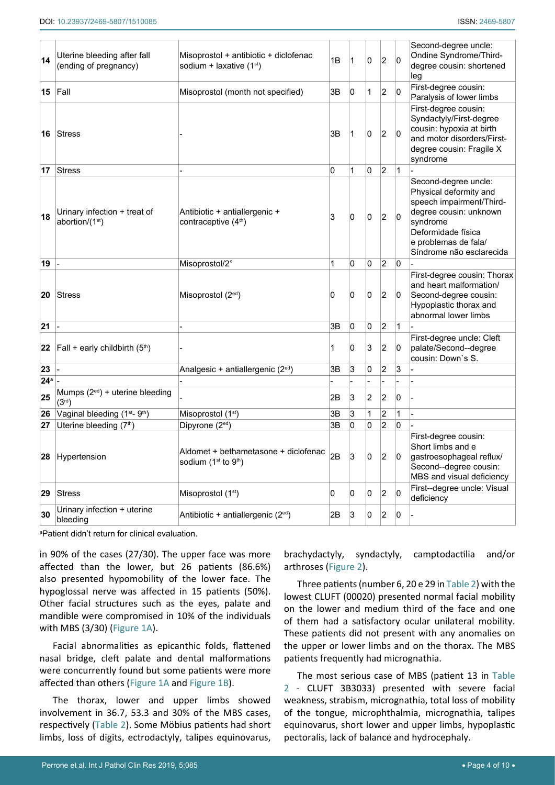| 14              | Uterine bleeding after fall<br>(ending of pregnancy)        | Misoprostol + antibiotic + diclofenac<br>sodium + laxative $(1st)$                   | 1B | 1 | 0 | $\overline{2}$ | 0 | Second-degree uncle:<br>Ondine Syndrome/Third-<br>degree cousin: shortened<br>leg                                                                                                          |
|-----------------|-------------------------------------------------------------|--------------------------------------------------------------------------------------|----|---|---|----------------|---|--------------------------------------------------------------------------------------------------------------------------------------------------------------------------------------------|
| 15              | Fall                                                        | Misoprostol (month not specified)                                                    | 3B | 0 | 1 | $\overline{2}$ | 0 | First-degree cousin:<br>Paralysis of lower limbs                                                                                                                                           |
| 16              | Stress                                                      |                                                                                      | 3B | 1 | 0 | 2              | 0 | First-degree cousin:<br>Syndactyly/First-degree<br>cousin: hypoxia at birth<br>and motor disorders/First-<br>degree cousin: Fragile X<br>syndrome                                          |
| 17              | Stress                                                      |                                                                                      | 0  | 1 | 0 | 2              | 1 |                                                                                                                                                                                            |
| 18              | Urinary infection + treat of<br>abortion/(1 <sup>st</sup> ) | Antibiotic + antiallergenic +<br>contraceptive (4 <sup>th</sup> )                    | 3  | 0 | 0 | $\overline{c}$ | 0 | Second-degree uncle:<br>Physical deformity and<br>speech impairment/Third-<br>degree cousin: unknown<br>syndrome<br>Deformidade física<br>e problemas de fala/<br>Síndrome não esclarecida |
| 19              |                                                             | Misoprostol/2°                                                                       | 1  | 0 | 0 | $\overline{2}$ | 0 |                                                                                                                                                                                            |
| 20              | Stress                                                      | Misoprostol $(2^{ed})$                                                               | 0  | 0 | 0 | $\overline{2}$ | 0 | First-degree cousin: Thorax<br>and heart malformation/<br>Second-degree cousin:<br>Hypoplastic thorax and<br>abnormal lower limbs                                                          |
| 21              |                                                             |                                                                                      | 3B | 0 | 0 | 2              | 1 |                                                                                                                                                                                            |
| 22              | $[Fall + early childbirth (5th)$                            |                                                                                      | 1  | 0 | 3 | 2              | 0 | First-degree uncle: Cleft<br>palate/Second--degree<br>cousin: Down's S.                                                                                                                    |
| 23              |                                                             | Analgesic + antiallergenic (2 <sup>ed</sup> )                                        | 3B | 3 | 0 | 2              | 3 |                                                                                                                                                                                            |
| 24 <sup>a</sup> |                                                             |                                                                                      |    |   |   |                |   |                                                                                                                                                                                            |
| 25              | Mumps $(2^{ed})$ + uterine bleeding<br>(3 <sup>rd</sup> )   |                                                                                      | 2B | 3 | 2 | 2              | 0 |                                                                                                                                                                                            |
| 26              | Vaginal bleeding (1 <sup>st</sup> -9 <sup>th</sup> )        | Misoprostol (1 <sup>st</sup> )                                                       | 3B | 3 | 1 | 2              | 1 |                                                                                                                                                                                            |
| 27              | Uterine bleeding (7th)                                      | Dipyrone (2 <sup>ed</sup> )                                                          | 3B | 0 | 0 | $\overline{2}$ | 0 |                                                                                                                                                                                            |
| 28              | Hypertension                                                | Aldomet + bethametasone + diclofenac<br>sodium (1 <sup>st</sup> to 9 <sup>th</sup> ) | 2B | 3 | 0 | $\overline{2}$ | 0 | First-degree cousin:<br>Short limbs and e<br>gastroesophageal reflux/<br>Second--degree cousin:<br>MBS and visual deficiency                                                               |
| 29              | <b>Stress</b>                                               | Misoprostol (1 <sup>st</sup> )                                                       | 0  | 0 | 0 | 2              | 0 | First--degree uncle: Visual<br>deficiency                                                                                                                                                  |
| 30              | Urinary infection + uterine<br>bleeding                     | Antibiotic + antiallergenic (2 <sup>ed</sup> )                                       | 2B | 3 | 0 | $\overline{2}$ | 0 |                                                                                                                                                                                            |

a Patient didn't return for clinical evaluation.

in 90% of the cases (27/30). The upper face was more affected than the lower, but 26 patients (86.6%) also presented hypomobility of the lower face. The hypoglossal nerve was affected in 15 patients (50%). Other facial structures such as the eyes, palate and mandible were compromised in 10% of the individuals with MBS (3/30) [\(Figure 1A\)](#page-4-1).

Facial abnormalities as epicanthic folds, flattened nasal bridge, cleft palate and dental malformations were concurrently found but some patients were more affected than others [\(Figure 1A](#page-4-1) and [Figure 1B](#page-4-1)).

The thorax, lower and upper limbs showed involvement in 36.7, 53.3 and 30% of the MBS cases, respectively [\(Table 2](#page-2-0)). Some Möbius patients had short limbs, loss of digits, ectrodactyly, talipes equinovarus, brachydactyly, syndactyly, camptodactilia and/or arthroses ([Figure 2\)](#page-4-0).

Three patients (number 6, 20 e 29 in [Table 2\)](#page-2-0) with the lowest CLUFT (00020) presented normal facial mobility on the lower and medium third of the face and one of them had a satisfactory ocular unilateral mobility. These patients did not present with any anomalies on the upper or lower limbs and on the thorax. The MBS patients frequently had micrognathia.

The most serious case of MBS (patient 13 in [Table](#page-2-0)  [2](#page-2-0) - CLUFT 3B3033) presented with severe facial weakness, strabism, micrognathia, total loss of mobility of the tongue, microphthalmia, micrognathia, talipes equinovarus, short lower and upper limbs, hypoplastic pectoralis, lack of balance and hydrocephaly.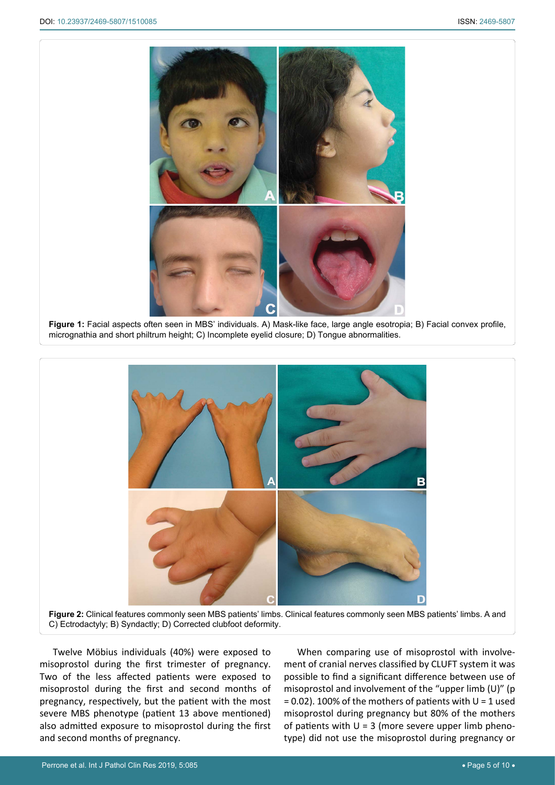<span id="page-4-1"></span>٦



**Figure 1:** Facial aspects often seen in MBS' individuals. A) Mask-like face, large angle esotropia; B) Facial convex profile, micrognathia and [short philtrum height;](https://www.proz.com/kudoz/english-to-portuguese/medical%3A-dentistry/3999088-short-philtrum-height.html) C) Incomplete eyelid closure; D) Tongue abnormalities.

<span id="page-4-0"></span>

Twelve Möbius individuals (40%) were exposed to misoprostol during the first trimester of pregnancy. Two of the less affected patients were exposed to misoprostol during the first and second months of pregnancy, respectively, but the patient with the most severe MBS phenotype (patient 13 above mentioned) also admitted exposure to misoprostol during the first and second months of pregnancy.

When comparing use of misoprostol with involvement of cranial nerves classified by CLUFT system it was possible to find a significant difference between use of misoprostol and involvement of the "upper limb (U)" (p  $= 0.02$ ). 100% of the mothers of patients with U = 1 used misoprostol during pregnancy but 80% of the mothers of patients with  $U = 3$  (more severe upper limb phenotype) did not use the misoprostol during pregnancy or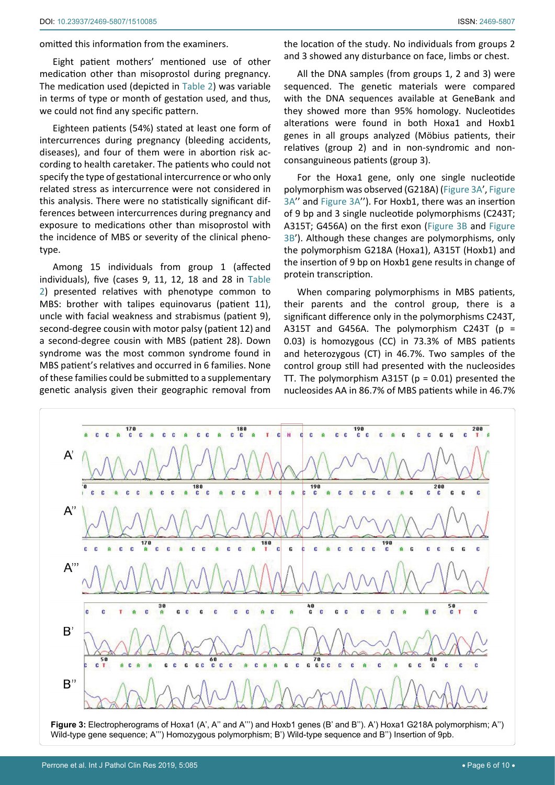omitted this information from the examiners.

Eight patient mothers' mentioned use of other medication other than misoprostol during pregnancy. The medication used (depicted in [Table 2](#page-2-0)) was variable in terms of type or month of gestation used, and thus, we could not find any specific pattern.

Eighteen patients (54%) stated at least one form of intercurrences during pregnancy (bleeding accidents, diseases), and four of them were in abortion risk according to health caretaker. The patients who could not specify the type of gestational intercurrence or who only related stress as intercurrence were not considered in this analysis. There were no statistically significant differences between intercurrences during pregnancy and exposure to medications other than misoprostol with the incidence of MBS or severity of the clinical phenotype.

Among 15 individuals from group 1 (affected individuals), five (cases 9, 11, 12, 18 and 28 in [Table](#page-2-0)  [2](#page-2-0)) presented relatives with phenotype common to MBS: brother with talipes equinovarus (patient 11), uncle with facial weakness and strabismus (patient 9), second-degree cousin with motor palsy (patient 12) and a second-degree cousin with MBS (patient 28). Down syndrome was the most common syndrome found in MBS patient's relatives and occurred in 6 families. None of these families could be submitted to a supplementary genetic analysis given their geographic removal from

<span id="page-5-0"></span>Ī

the location of the study. No individuals from groups 2 and 3 showed any disturbance on face, limbs or chest.

All the DNA samples (from groups 1, 2 and 3) were sequenced. The genetic materials were compared with the DNA sequences available at GeneBank and they showed more than 95% homology. Nucleotides alterations were found in both Hoxa1 and Hoxb1 genes in all groups analyzed (Möbius patients, their relatives (group 2) and in non-syndromic and nonconsanguineous patients (group 3).

For the Hoxa1 gene, only one single nucleotide polymorphism was observed (G218A) ([Figure 3A'](#page-5-0), [Figure](#page-5-0)  [3A'](#page-5-0)' and [Figure 3A'](#page-5-0)'). For Hoxb1, there was an insertion of 9 bp and 3 single nucleotide polymorphisms (C243T; A315T; G456A) on the first exon ([Figure 3B](#page-5-0) and [Figure](#page-5-0)  [3B](#page-5-0)'). Although these changes are polymorphisms, only the polymorphism G218A (Hoxa1), A315T (Hoxb1) and the insertion of 9 bp on Hoxb1 gene results in change of protein transcription.

When comparing polymorphisms in MBS patients, their parents and the control group, there is a significant difference only in the polymorphisms C243T, A315T and G456A. The polymorphism C243T ( $p =$ 0.03) is homozygous (CC) in 73.3% of MBS patients and heterozygous (CT) in 46.7%. Two samples of the control group still had presented with the nucleosides TT. The polymorphism A315T ( $p = 0.01$ ) presented the nucleosides AA in 86.7% of MBS patients while in 46.7%



**Figure 3:** Electropherograms of Hoxa1 (A', A'' and A''') and Hoxb1 genes (B' and B''). A') Hoxa1 G218A polymorphism; A'') Wild-type gene sequence; A''') Homozygous polymorphism; B') Wild-type sequence and B'') Insertion of 9pb.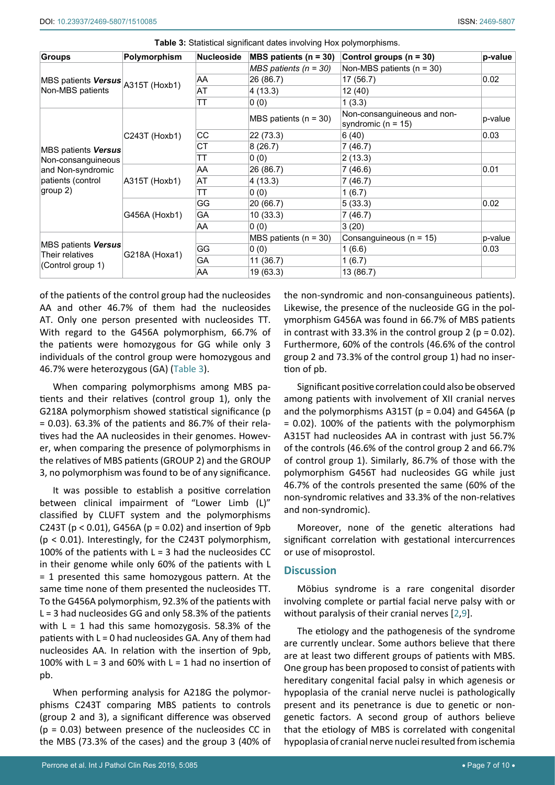| <b>Groups</b>                                                         | Polymorphism  | <b>Nucleoside</b> | <b>MBS</b> patients ( $n = 30$ ) | Control groups $(n = 30)$                             | p-value |
|-----------------------------------------------------------------------|---------------|-------------------|----------------------------------|-------------------------------------------------------|---------|
| MBS patients <b>Versus</b> A315T (Hoxb1)<br>Non-MBS patients          |               |                   | $MBS$ patients (n = 30)          | Non-MBS patients $(n = 30)$                           |         |
|                                                                       |               | AA                | 26 (86.7)                        | 17 (56.7)                                             | 0.02    |
|                                                                       |               | AT                | 4(13.3)                          | 12 (40)                                               |         |
|                                                                       |               | ТT                | 0(0)                             | 1(3.3)                                                |         |
| MBS patients <b>Versus</b><br>Non-consanguineous<br>and Non-syndromic |               |                   | MBS patients $(n = 30)$          | Non-consanguineous and non-<br>syndromic ( $n = 15$ ) | p-value |
|                                                                       | C243T (Hoxb1) | CC                | 22 (73.3)                        | 6(40)                                                 | 0.03    |
|                                                                       |               | СT                | 8(26.7)                          | 7(46.7)                                               |         |
|                                                                       |               | ТT                | 0(0)                             | 2(13.3)                                               |         |
|                                                                       | A315T (Hoxb1) | AA                | 26 (86.7)                        | 7(46.6)                                               | 0.01    |
| patients (control                                                     |               | AT                | 4(13.3)                          | 7(46.7)                                               |         |
| group 2)                                                              |               | TT                | 0(0)                             | 1(6.7)                                                |         |
|                                                                       | G456A (Hoxb1) | GG                | 20 (66.7)                        | 5(33.3)                                               | 0.02    |
|                                                                       |               | GА                | 10(33.3)                         | 7(46.7)                                               |         |
|                                                                       |               | AA                | 0(0)                             | 3(20)                                                 |         |
| MBS patients Versus<br>Their relatives<br>(Control group 1)           |               |                   | MBS patients $(n = 30)$          | Consanguineous (n = 15)                               | p-value |
|                                                                       |               | GG                | 0(0)                             | 1(6.6)                                                | 0.03    |
|                                                                       | G218A (Hoxa1) | GА                | 11(36.7)                         | 1(6.7)                                                |         |
|                                                                       |               | AA                | 19 (63.3)                        | 13 (86.7)                                             |         |

<span id="page-6-0"></span>**Table 3:** Statistical significant dates involving Hox polymorphisms.

of the patients of the control group had the nucleosides AA and other 46.7% of them had the nucleosides AT. Only one person presented with nucleosides TT. With regard to the G456A polymorphism, 66.7% of the patients were homozygous for GG while only 3 individuals of the control group were homozygous and 46.7% were heterozygous (GA) [\(Table 3\)](#page-6-0).

When comparing polymorphisms among MBS patients and their relatives (control group 1), only the G218A polymorphism showed statistical significance (p  $= 0.03$ ). 63.3% of the patients and 86.7% of their relatives had the AA nucleosides in their genomes. However, when comparing the presence of polymorphisms in the relatives of MBS patients (GROUP 2) and the GROUP 3, no polymorphism was found to be of any significance.

It was possible to establish a positive correlation between clinical impairment of "Lower Limb (L)" classified by CLUFT system and the polymorphisms C243T ( $p < 0.01$ ), G456A ( $p = 0.02$ ) and insertion of 9pb (p < 0.01). Interestingly, for the C243T polymorphism, 100% of the patients with  $L = 3$  had the nucleosides CC in their genome while only 60% of the patients with L = 1 presented this same homozygous pattern. At the same time none of them presented the nucleosides TT. To the G456A polymorphism, 92.3% of the patients with L = 3 had nucleosides GG and only 58.3% of the patients with  $L = 1$  had this same homozygosis. 58.3% of the patients with  $L = 0$  had nucleosides GA. Any of them had nucleosides AA. In relation with the insertion of 9pb, 100% with  $L = 3$  and 60% with  $L = 1$  had no insertion of pb.

When performing analysis for A218G the polymorphisms C243T comparing MBS patients to controls (group 2 and 3), a significant difference was observed  $(p = 0.03)$  between presence of the nucleosides CC in the MBS (73.3% of the cases) and the group 3 (40% of the non-syndromic and non-consanguineous patients). Likewise, the presence of the nucleoside GG in the polymorphism G456A was found in 66.7% of MBS patients in contrast with 33.3% in the control group 2 ( $p = 0.02$ ). Furthermore, 60% of the controls (46.6% of the control group 2 and 73.3% of the control group 1) had no insertion of pb.

Significant positive correlation could also be observed among patients with involvement of XII cranial nerves and the polymorphisms A315T ( $p = 0.04$ ) and G456A ( $p$ = 0.02). 100% of the patients with the polymorphism A315T had nucleosides AA in contrast with just 56.7% of the controls (46.6% of the control group 2 and 66.7% of control group 1). Similarly, 86.7% of those with the polymorphism G456T had nucleosides GG while just 46.7% of the controls presented the same (60% of the non-syndromic relatives and 33.3% of the non-relatives and non-syndromic).

Moreover, none of the genetic alterations had significant correlation with gestational intercurrences or use of misoprostol.

# **Discussion**

Möbius syndrome is a rare congenital disorder involving complete or partial facial nerve palsy with or without paralysis of their cranial nerves [\[2](#page-9-0),[9\]](#page-9-6).

The etiology and the pathogenesis of the syndrome are currently unclear. Some authors believe that there are at least two different groups of patients with MBS. One group has been proposed to consist of patients with hereditary congenital facial palsy in which agenesis or hypoplasia of the cranial nerve nuclei is pathologically present and its penetrance is due to genetic or nongenetic factors. A second group of authors believe that the etiology of MBS is correlated with congenital hypoplasia of cranial nerve nuclei resulted from ischemia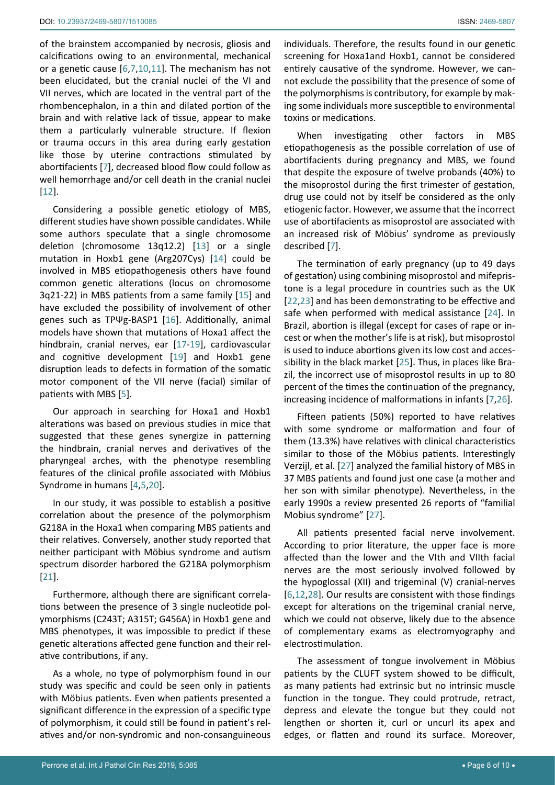of the brainstem accompanied by necrosis, gliosis and calcifications owing to an environmental, mechanical or a genetic cause [[6](#page-9-3),[7](#page-9-4),[10](#page-9-15),[11](#page-9-16)]. The mechanism has not been elucidated, but the cranial nuclei of the VI and VII nerves, which are located in the ventral part of the rhombencephalon, in a thin and dilated portion of the brain and with relative lack of tissue, appear to make them a particularly vulnerable structure. If flexion or trauma occurs in this area during early gestation like those by uterine contractions stimulated by abortifacients [\[7\]](#page-9-4), decreased blood flow could follow as well hemorrhage and/or cell death in the cranial nuclei [[12](#page-9-13)].

Considering a possible genetic etiology of MBS, different studies have shown possible candidates. While some authors speculate that a single chromosome deletion (chromosome 13q12.2) [\[13](#page-9-17)] or a single mutation in Hoxb1 gene (Arg207Cys) [[14\]](#page-9-18) could be involved in MBS etiopathogenesis others have found common genetic alterations (locus on chromosome 3q21-22) in MBS patients from a same family [[15](#page-9-19)] and have excluded the possibility of involvement of other genes such as TPΨg-BASP1 [\[16\]](#page-9-20). Additionally, animal models have shown that mutations of Hoxa1 affect the hindbrain, cranial nerves, ear [\[17](#page-9-21)-[19\]](#page-9-22), cardiovascular and cognitive development [[19\]](#page-9-22) and Hoxb1 gene disruption leads to defects in formation of the somatic motor component of the VII nerve (facial) similar of patients with MBS [\[5\]](#page-9-2).

Our approach in searching for Hoxa1 and Hoxb1 alterations was based on previous studies in mice that suggested that these genes synergize in patterning the hindbrain, cranial nerves and derivatives of the pharyngeal arches, with the phenotype resembling features of the clinical profile associated with Möbius Syndrome in humans [[4](#page-9-23),[5](#page-9-2),[20\]](#page-9-24).

In our study, it was possible to establish a positive correlation about the presence of the polymorphism G218A in the Hoxa1 when comparing MBS patients and their relatives. Conversely, another study reported that neither participant with Möbius syndrome and autism spectrum disorder harbored the G218A polymorphism [[21](#page-9-25)].

Furthermore, although there are significant correlations between the presence of 3 single nucleotide polymorphisms (C243T; A315T; G456A) in Hoxb1 gene and MBS phenotypes, it was impossible to predict if these genetic alterations affected gene function and their relative contributions, if any.

As a whole, no type of polymorphism found in our study was specific and could be seen only in patients with Möbius patients. Even when patients presented a significant difference in the expression of a specific type of polymorphism, it could still be found in patient's relatives and/or non-syndromic and non-consanguineous individuals. Therefore, the results found in our genetic screening for Hoxa1and Hoxb1, cannot be considered entirely causative of the syndrome. However, we cannot exclude the possibility that the presence of some of the polymorphisms is contributory, for example by making some individuals more susceptible to environmental toxins or medications.

When investigating other factors in MBS etiopathogenesis as the possible correlation of use of abortifacients during pregnancy and MBS, we found that despite the exposure of twelve probands (40%) to the misoprostol during the first trimester of gestation, drug use could not by itself be considered as the only etiogenic factor. However, we assume that the incorrect use of abortifacients as misoprostol are associated with an increased risk of Möbius' syndrome as previously described [\[7\]](#page-9-4).

The termination of early pregnancy (up to 49 days of gestation) using combining misoprostol and mifepristone is a legal procedure in countries such as the UK [\[22](#page-9-7),[23](#page-9-8)] and has been demonstrating to be effective and safe when performed with medical assistance [\[24](#page-9-9)]. In Brazil, abortion is illegal (except for cases of rape or incest or when the mother's life is at risk), but misoprostol is used to induce abortions given its low cost and accessibility in the black market [\[25](#page-9-10)]. Thus, in places like Brazil, the incorrect use of misoprostol results in up to 80 percent of the times the continuation of the pregnancy, increasing incidence of malformations in infants [[7](#page-9-4),[26](#page-9-11)].

Fifteen patients (50%) reported to have relatives with some syndrome or malformation and four of them (13.3%) have relatives with clinical characteristics similar to those of the Möbius patients. Interestingly Verzijl, et al. [\[27\]](#page-9-12) analyzed the familial history of MBS in 37 MBS patients and found just one case (a mother and her son with similar phenotype). Nevertheless, in the early 1990s a review presented 26 reports of "familial Mobius syndrome" [[27](#page-9-12)].

All patients presented facial nerve involvement. According to prior literature, the upper face is more affected than the lower and the VIth and VIIth facial nerves are the most seriously involved followed by the hypoglossal (XII) and trigeminal (V) cranial-nerves [\[6](#page-9-3),[12](#page-9-13),[28](#page-9-14)]. Our results are consistent with those findings except for alterations on the trigeminal cranial nerve, which we could not observe, likely due to the absence of complementary exams as electromyography and electrostimulation.

The assessment of tongue involvement in Möbius patients by the CLUFT system showed to be difficult, as many patients had extrinsic but no intrinsic muscle function in the tongue. They could protrude, retract, depress and elevate the tongue but they could not lengthen or shorten it, curl or uncurl its apex and edges, or flatten and round its surface. Moreover,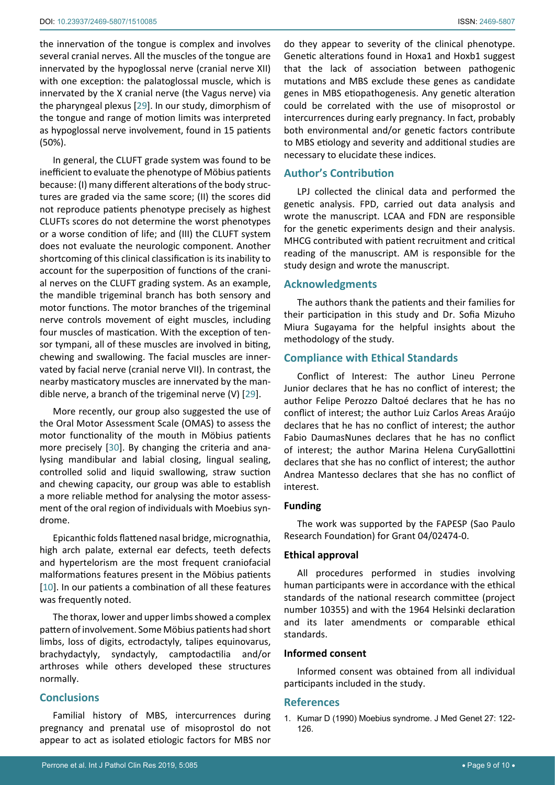the innervation of the tongue is complex and involves several cranial nerves. All the muscles of the tongue are innervated by the hypoglossal nerve (cranial nerve XII) with one exception: the palatoglossal muscle, which is innervated by the X cranial nerve (the Vagus nerve) via the pharyngeal plexus [[29\]](#page-9-26). In our study, dimorphism of the tongue and range of motion limits was interpreted as hypoglossal nerve involvement, found in 15 patients (50%).

In general, the CLUFT grade system was found to be inefficient to evaluate the phenotype of Möbius patients because: (I) many different alterations of the body structures are graded via the same score; (II) the scores did not reproduce patients phenotype precisely as highest CLUFTs scores do not determine the worst phenotypes or a worse condition of life; and (III) the CLUFT system does not evaluate the neurologic component. Another shortcoming of this clinical classification is its inability to account for the superposition of functions of the cranial nerves on the CLUFT grading system. As an example, the mandible trigeminal branch has both sensory and motor functions. The motor branches of the trigeminal nerve controls movement of eight muscles, including four muscles of mastication. With the exception of tensor tympani, all of these muscles are involved in biting, chewing and swallowing. The facial muscles are innervated by facial nerve (cranial nerve VII). In contrast, the nearby masticatory muscles are innervated by the mandible nerve, a branch of the trigeminal nerve (V) [\[29](#page-9-26)].

More recently, our group also suggested the use of the Oral Motor Assessment Scale (OMAS) to assess the motor functionality of the mouth in Möbius patients more precisely [[30\]](#page-9-27). By changing the criteria and analysing mandibular and labial closing, lingual sealing, controlled solid and liquid swallowing, straw suction and chewing capacity, our group was able to establish a more reliable method for analysing the motor assessment of the oral region of individuals with Moebius syndrome.

Epicanthic folds flattened nasal bridge, micrognathia, high arch palate, external ear defects, teeth defects and hypertelorism are the most frequent craniofacial malformations features present in the Möbius patients [[10](#page-9-15)]. In our patients a combination of all these features was frequently noted.

The thorax, lower and upper limbs showed a complex pattern of involvement. Some Möbius patients had short limbs, loss of digits, ectrodactyly, talipes equinovarus, brachydactyly, syndactyly, camptodactilia and/or arthroses while others developed these structures normally.

## **Conclusions**

Familial history of MBS, intercurrences during pregnancy and prenatal use of misoprostol do not appear to act as isolated etiologic factors for MBS nor

do they appear to severity of the clinical phenotype. Genetic alterations found in Hoxa1 and Hoxb1 suggest that the lack of association between pathogenic mutations and MBS exclude these genes as candidate genes in MBS etiopathogenesis. Any genetic alteration could be correlated with the use of misoprostol or intercurrences during early pregnancy. In fact, probably both environmental and/or genetic factors contribute to MBS etiology and severity and additional studies are necessary to elucidate these indices.

# **Author's Contribution**

LPJ collected the clinical data and performed the genetic analysis. FPD, carried out data analysis and wrote the manuscript. LCAA and FDN are responsible for the genetic experiments design and their analysis. MHCG contributed with patient recruitment and critical reading of the manuscript. AM is responsible for the study design and wrote the manuscript.

## **Acknowledgments**

The authors thank the patients and their families for their participation in this study and Dr. Sofia Mizuho Miura Sugayama for the helpful insights about the methodology of the study.

# **Compliance with Ethical Standards**

Conflict of Interest: The author Lineu Perrone Junior declares that he has no conflict of interest; the author Felipe Perozzo Daltoé declares that he has no conflict of interest; the author Luiz Carlos Areas Araújo declares that he has no conflict of interest; the author Fabio DaumasNunes declares that he has no conflict of interest; the author Marina Helena CuryGallottini declares that she has no conflict of interest; the author Andrea Mantesso declares that she has no conflict of interest.

#### **Funding**

The work was supported by the FAPESP (Sao Paulo Research Foundation) for Grant 04/02474-0.

## **Ethical approval**

All procedures performed in studies involving human participants were in accordance with the ethical standards of the national research committee (project number 10355) and with the 1964 Helsinki declaration and its later amendments or comparable ethical standards.

## **Informed consent**

Informed consent was obtained from all individual participants included in the study.

#### **References**

<span id="page-8-0"></span>1. [Kumar D \(1990\) Moebius syndrome. J Med Genet 27: 122-](https://www.ncbi.nlm.nih.gov/pubmed/2319579) [126.](https://www.ncbi.nlm.nih.gov/pubmed/2319579)